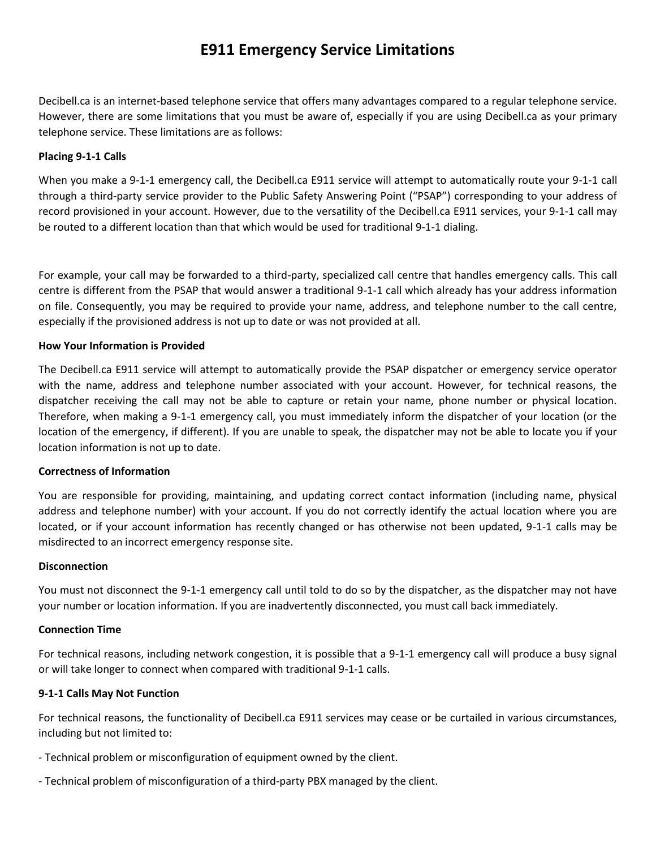# **E911 Emergency Service Limitations**

Decibell.ca is an internet-based telephone service that offers many advantages compared to a regular telephone service. However, there are some limitations that you must be aware of, especially if you are using Decibell.ca as your primary telephone service. These limitations are as follows:

# **Placing 9-1-1 Calls**

When you make a 9-1-1 emergency call, the Decibell.ca E911 service will attempt to automatically route your 9-1-1 call through a third-party service provider to the Public Safety Answering Point ("PSAP") corresponding to your address of record provisioned in your account. However, due to the versatility of the Decibell.ca E911 services, your 9-1-1 call may be routed to a different location than that which would be used for traditional 9-1-1 dialing.

For example, your call may be forwarded to a third-party, specialized call centre that handles emergency calls. This call centre is different from the PSAP that would answer a traditional 9-1-1 call which already has your address information on file. Consequently, you may be required to provide your name, address, and telephone number to the call centre, especially if the provisioned address is not up to date or was not provided at all.

## **How Your Information is Provided**

The Decibell.ca E911 service will attempt to automatically provide the PSAP dispatcher or emergency service operator with the name, address and telephone number associated with your account. However, for technical reasons, the dispatcher receiving the call may not be able to capture or retain your name, phone number or physical location. Therefore, when making a 9-1-1 emergency call, you must immediately inform the dispatcher of your location (or the location of the emergency, if different). If you are unable to speak, the dispatcher may not be able to locate you if your location information is not up to date.

## **Correctness of Information**

You are responsible for providing, maintaining, and updating correct contact information (including name, physical address and telephone number) with your account. If you do not correctly identify the actual location where you are located, or if your account information has recently changed or has otherwise not been updated, 9-1-1 calls may be misdirected to an incorrect emergency response site.

## **Disconnection**

You must not disconnect the 9-1-1 emergency call until told to do so by the dispatcher, as the dispatcher may not have your number or location information. If you are inadvertently disconnected, you must call back immediately.

## **Connection Time**

For technical reasons, including network congestion, it is possible that a 9-1-1 emergency call will produce a busy signal or will take longer to connect when compared with traditional 9-1-1 calls.

## **9-1-1 Calls May Not Function**

For technical reasons, the functionality of Decibell.ca E911 services may cease or be curtailed in various circumstances, including but not limited to:

- Technical problem or misconfiguration of equipment owned by the client.
- Technical problem of misconfiguration of a third-party PBX managed by the client.